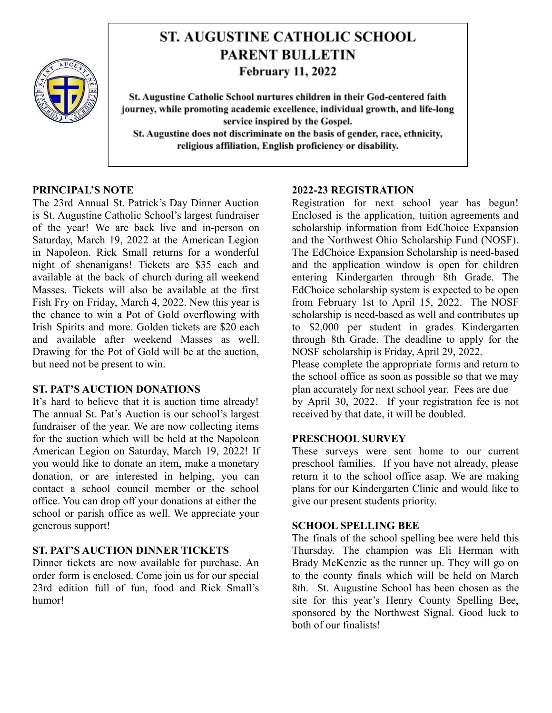

# **ST. AUGUSTINE CATHOLIC SCHOOL PARENT BULLETIN February 11, 2022**

St. Augustine Catholic School nurtures children in their God-centered faith journey, while promoting academic excellence, individual growth, and life-long service inspired by the Gospel. St. Augustine does not discriminate on the basis of gender, race, ethnicity, religious affiliation, English proficiency or disability.

## **PRINCIPAL'S NOTE**

The 23rd Annual St. Patrick's Day Dinner Auction is St. Augustine Catholic School's largest fundraiser of the year! We are back live and in-person on Saturday, March 19, 2022 at the American Legion in Napoleon. Rick Small returns for a wonderful night of shenanigans! Tickets are \$35 each and available at the back of church during all weekend Masses. Tickets will also be available at the first Fish Fry on Friday, March 4, 2022. New this year is the chance to win a Pot of Gold overflowing with Irish Spirits and more. Golden tickets are \$20 each and available after weekend Masses as well. Drawing for the Pot of Gold will be at the auction, but need not be present to win.

#### **ST. PAT'S AUCTION DONATIONS**

It's hard to believe that it is auction time already! The annual St. Pat's Auction is our school's largest fundraiser of the year. We are now collecting items for the auction which will be held at the Napoleon American Legion on Saturday, March 19, 2022! If you would like to donate an item, make a monetary donation, or are interested in helping, you can contact a school council member or the school office. You can drop off your donations at either the school or parish office as well. We appreciate your generous support!

# **ST. PAT'S AUCTION DINNER TICKETS**

Dinner tickets are now available for purchase. An order form is enclosed. Come join us for our special 23rd edition full of fun, food and Rick Small's humor!

#### **2022-23 REGISTRATION**

Registration for next school year has begun! Enclosed is the application, tuition agreements and scholarship information from EdChoice Expansion and the Northwest Ohio Scholarship Fund (NOSF). The EdChoice Expansion Scholarship is need-based and the application window is open for children entering Kindergarten through 8th Grade. The EdChoice scholarship system is expected to be open from February 1st to April 15, 2022. The NOSF scholarship is need-based as well and contributes up to \$2,000 per student in grades Kindergarten through 8th Grade. The deadline to apply for the NOSF scholarship is Friday, April 29, 2022.

Please complete the appropriate forms and return to the school office as soon as possible so that we may plan accurately for next school year. Fees are due by April 30, 2022. If your registration fee is not received by that date, it will be doubled.

#### **PRESCHOOL SURVEY**

These surveys were sent home to our current preschool families. If you have not already, please return it to the school office asap. We are making plans for our Kindergarten Clinic and would like to give our present students priority.

#### **SCHOOL SPELLING BEE**

The finals of the school spelling bee were held this Thursday. The champion was Eli Herman with Brady McKenzie as the runner up. They will go on to the county finals which will be held on March 8th. St. Augustine School has been chosen as the site for this year's Henry County Spelling Bee, sponsored by the Northwest Signal. Good luck to both of our finalists!